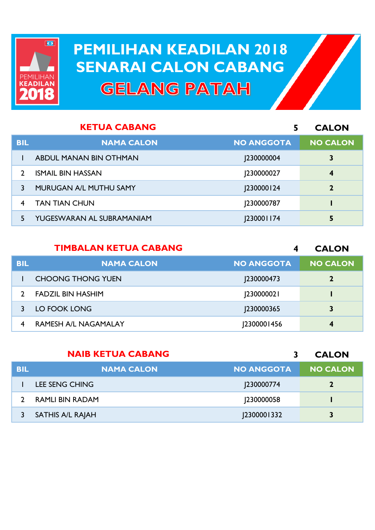

## **PEMILIHAN KEADILAN 2018 PEMILIHAN KEADILAN 2018 SENARAI CALON CABANG SENARAI CALON CABANGGELANG PATAH**

|            | <b>KETUA CABANG</b>       | 5                 | <b>CALON</b>     |
|------------|---------------------------|-------------------|------------------|
| <b>BIL</b> | <b>NAMA CALON</b>         | <b>NO ANGGOTA</b> | <b>NO CALON</b>  |
|            | ABDUL MANAN BIN OTHMAN    | <b>230000004</b>  | 3                |
|            | <b>ISMAIL BIN HASSAN</b>  | 230000027         | $\boldsymbol{4}$ |
|            | MURUGAN A/L MUTHU SAMY    | <b>230000124</b>  | $\mathbf{2}$     |
|            | <b>TAN TIAN CHUN</b>      | 230000787         |                  |
|            | YUGESWARAN AL SUBRAMANIAM | <b>230001174</b>  | 5                |

|            | <b>TIMBALAN KETUA CABANG</b> | 4                 | <b>CALON</b>    |
|------------|------------------------------|-------------------|-----------------|
| <b>BIL</b> | <b>NAMA CALON</b>            | <b>NO ANGGOTA</b> | <b>NO CALON</b> |
|            | <b>CHOONG THONG YUEN</b>     | 230000473         |                 |
|            | <b>FADZIL BIN HASHIM</b>     | [23000002]        |                 |
|            | LO FOOK LONG                 | <b>J230000365</b> | 3               |
| 4          | <b>RAMESH A/L NAGAMALAY</b>  | 2300001456        | 4               |

|            | <b>NAIB KETUA CABANG</b> |                   | <b>CALON</b>    |
|------------|--------------------------|-------------------|-----------------|
| <b>BIL</b> | <b>NAMA CALON</b>        | <b>NO ANGGOTA</b> | <b>NO CALON</b> |
|            | LEE SENG CHING           | 230000774         |                 |
|            | RAMLI BIN RADAM          | <b>J230000058</b> |                 |
|            | SATHIS A/L RAJAH         | 2300001332        | 3               |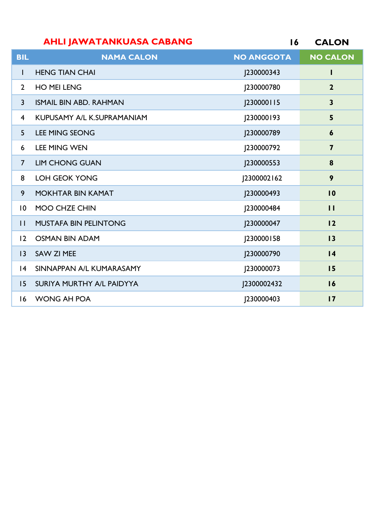| <b>AHLI JAWATANKUASA CABANG</b> |            | 16 CALON  |
|---------------------------------|------------|-----------|
| NIANA AALANI                    | NA ANAGATA | NA ANTANI |

| <b>BIL</b>              | <b>NAMA CALON</b>             | <b>NO ANGGOTA</b> | <b>NO CALON</b>         |
|-------------------------|-------------------------------|-------------------|-------------------------|
| L                       | <b>HENG TIAN CHAI</b>         | J230000343        |                         |
| $\overline{2}$          | <b>HO MEI LENG</b>            | J230000780        | $\overline{2}$          |
| $\overline{3}$          | <b>ISMAIL BIN ABD, RAHMAN</b> | J230000115        | $\overline{\mathbf{3}}$ |
| $\overline{\mathbf{4}}$ | KUPUSAMY A/L K.SUPRAMANIAM    | J230000193        | 5                       |
| 5                       | <b>LEE MING SEONG</b>         | J230000789        | $\boldsymbol{6}$        |
| 6                       | <b>LEE MING WEN</b>           | J230000792        | $\overline{\mathbf{z}}$ |
| $\overline{7}$          | <b>LIM CHONG GUAN</b>         | J230000553        | 8                       |
| 8                       | <b>LOH GEOK YONG</b>          | J2300002162       | 9                       |
| 9                       | <b>MOKHTAR BIN KAMAT</b>      | J230000493        | $\overline{10}$         |
| $\overline{10}$         | MOO CHZE CHIN                 | J230000484        | $\mathbf{H}$            |
| $\mathbf{I}$            | <b>MUSTAFA BIN PELINTONG</b>  | J230000047        | 12                      |
| 12                      | <b>OSMAN BIN ADAM</b>         | J230000158        | 13                      |
| $ 3\rangle$             | SAW ZI MEE                    | J230000790        | 4                       |
| 4                       | SINNAPPAN A/L KUMARASAMY      | J230000073        | 15                      |
| 15                      | SURIYA MURTHY A/L PAIDYYA     | J2300002432       | 16                      |
| 16                      | WONG AH POA                   | 230000403         | $\overline{17}$         |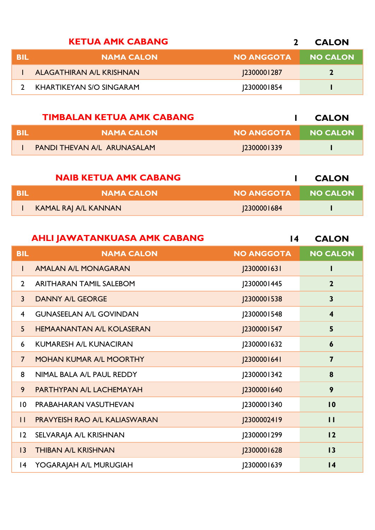|            | <b>KETUA AMK CABANG</b>  |                   | <b>CALON</b>    |
|------------|--------------------------|-------------------|-----------------|
| <b>BIL</b> | <b>NAMA CALON</b>        | <b>NO ANGGOTA</b> | <b>NO CALON</b> |
|            | ALAGATHIRAN A/L KRISHNAN | <b>2300001287</b> |                 |
|            | KHARTIKEYAN S/O SINGARAM | 2300001854        |                 |

|      | <b>TIMBALAN KETUA AMK CABANG</b>   |            | <b>CALON</b>    |
|------|------------------------------------|------------|-----------------|
| -BIL | <b>NAMA CALON</b>                  | NO ANGGOTA | <b>NO CALON</b> |
|      | <b>PANDI THEVAN A/L ARUNASALAM</b> | 2300001339 |                 |

|      | <b>NAIB KETUA AMK CABANG</b> |                   | <b>CALON</b>    |
|------|------------------------------|-------------------|-----------------|
| -BIL | <b>NAMA CALON</b>            | <b>NO ANGGOTA</b> | <b>NO CALON</b> |
|      | KAMAL RAJ A/L KANNAN         | <b>2300001684</b> |                 |

|                 | <b>AHLI JAWATANKUASA AMK CABANG</b> | $\overline{14}$   | <b>CALON</b>            |
|-----------------|-------------------------------------|-------------------|-------------------------|
| <b>BIL</b>      | <b>NAMA CALON</b>                   | <b>NO ANGGOTA</b> | <b>NO CALON</b>         |
| L               | AMALAN A/L MONAGARAN                | [2300001631]      |                         |
| $\overline{2}$  | <b>ARITHARAN TAMIL SALEBOM</b>      | J2300001445       | $\overline{2}$          |
| $\overline{3}$  | <b>DANNY A/L GEORGE</b>             | J2300001538       | $\overline{\mathbf{3}}$ |
| $\overline{4}$  | <b>GUNASEELAN A/L GOVINDAN</b>      | J2300001548       | $\overline{\mathbf{4}}$ |
| 5 <sup>5</sup>  | <b>HEMAANANTAN A/L KOLASERAN</b>    | J2300001547       | 5                       |
| 6               | <b>KUMARESH A/L KUNACIRAN</b>       | J2300001632       | 6                       |
| $\overline{7}$  | MOHAN KUMAR A/L MOORTHY             | [2300001641]      | $\overline{\mathbf{7}}$ |
| 8               | NIMAL BALA A/L PAUL REDDY           | J2300001342       | 8                       |
| 9               | PARTHYPAN A/L LACHEMAYAH            | J2300001640       | 9                       |
| $\overline{10}$ | PRABAHARAN VASUTHEVAN               | J2300001340       | $\overline{10}$         |
| $\mathbf{H}$    | PRAVYEISH RAO A/L KALIASWARAN       | J2300002419       | $\mathbf{I}$            |
| 12              | SELVARAJA A/L KRISHNAN              | J2300001299       | 12                      |
| 3               | <b>THIBAN A/L KRISHNAN</b>          | J2300001628       | 13                      |
| 4               | YOGARAJAH A/L MURUGIAH              | J2300001639       | $\overline{14}$         |